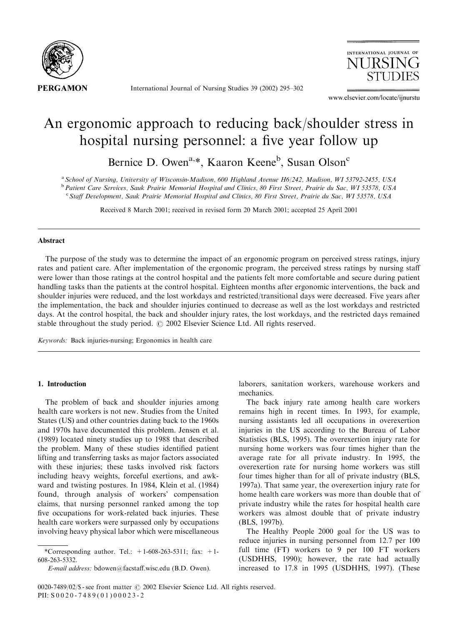

International Journal of Nursing Studies 39 (2002) 295–302

INTERNATIONAL JOURNAL OF **NURSE** 

www.elsevier.com/locate/ijnurstu

## An ergonomic approach to reducing back/shoulder stress in hospital nursing personnel: a five year follow up

Bernice D. Owen<sup>a,\*</sup>, Kaaron Keene<sup>b</sup>, Susan Olson<sup>c</sup>

a School of Nursing, University of Wisconsin-Madison, 600 Highland Avenue H6/242, Madison, WI 53792-2455, USA

<sup>b</sup> Patient Care Services, Sauk Prairie Memorial Hospital and Clinics, 80 First Street, Prairie du Sac, WI 53578, USA

<sup>c</sup> Staff Development, Sauk Prairie Memorial Hospital and Clinics, 80 First Street, Prairie du Sac, WI 53578, USA

Received 8 March 2001; received in revised form 20 March 2001; accepted 25 April 2001

### Abstract

The purpose of the study was to determine the impact of an ergonomic program on perceived stress ratings, injury rates and patient care. After implementation of the ergonomic program, the perceived stress ratings by nursing staff were lower than those ratings at the control hospital and the patients felt more comfortable and secure during patient handling tasks than the patients at the control hospital. Eighteen months after ergonomic interventions, the back and shoulder injuries were reduced, and the lost workdays and restricted/transitional days were decreased. Five years after the implementation, the backand shoulder injuries continued to decrease as well as the lost workdays and restricted days. At the control hospital, the back and shoulder injury rates, the lost workdays, and the restricted days remained stable throughout the study period.  $\odot$  2002 Elsevier Science Ltd. All rights reserved.

Keywords: Back injuries-nursing; Ergonomics in health care

## 1. Introduction

The problem of back and shoulder injuries among health care workers is not new. Studies from the United States (US) and other countries dating back to the 1960s and 1970s have documented this problem. Jensen et al. (1989) located ninety studies up to 1988 that described the problem. Many of these studies identified patient lifting and transferring tasks as major factors associated with these injuries; these tasks involved risk factors including heavy weights, forceful exertions, and awkward and twisting postures. In 1984, Klein et al. (1984) found, through analysis of workers' compensation claims, that nursing personnel ranked among the top five occupations for work-related back injuries. These health care workers were surpassed only by occupations involving heavy physical labor which were miscellaneous

\*Corresponding author. Tel.:  $+1-608-263-5311$ ; fax:  $+1-$ 608-263-5332.

E-mail address: bdowen@facstaff.wisc.edu (B.D. Owen).

laborers, sanitation workers, warehouse workers and mechanics.

The back injury rate among health care workers remains high in recent times. In 1993, for example, nursing assistants led all occupations in overexertion injuries in the US according to the Bureau of Labor Statistics (BLS, 1995). The overexertion injury rate for nursing home workers was four times higher than the average rate for all private industry. In 1995, the overexertion rate for nursing home workers was still four times higher than for all of private industry (BLS, 1997a). That same year, the overexertion injury rate for home health care workers was more than double that of private industry while the rates for hospital health care workers was almost double that of private industry (BLS, 1997b).

The Healthy People 2000 goal for the US was to reduce injuries in nursing personnel from 12.7 per 100 full time (FT) workers to 9 per 100 FT workers (USDHHS, 1990); however, the rate had actually increased to 17.8 in 1995 (USDHHS, 1997). (These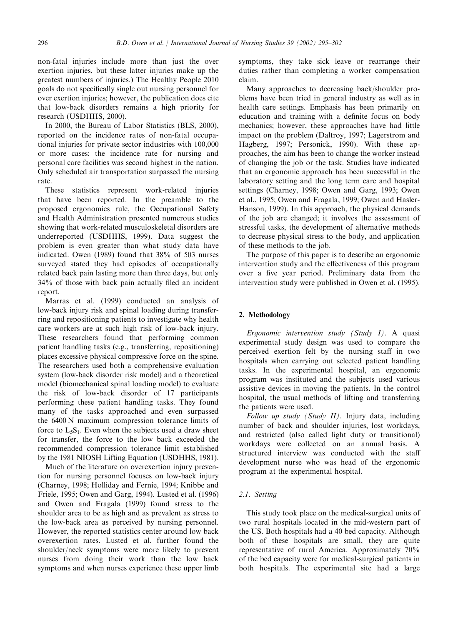non-fatal injuries include more than just the over exertion injuries, but these latter injuries make up the greatest numbers of injuries.) The Healthy People 2010 goals do not specifically single out nursing personnel for over exertion injuries; however, the publication does cite that low-back disorders remains a high priority for research (USDHHS, 2000).

In 2000, the Bureau of Labor Statistics (BLS, 2000), reported on the incidence rates of non-fatal occupational injuries for private sector industries with 100,000 or more cases; the incidence rate for nursing and personal care facilities was second highest in the nation. Only scheduled air transportation surpassed the nursing rate.

These statistics represent work-related injuries that have been reported. In the preamble to the proposed ergonomics rule, the Occupational Safety and Health Administration presented numerous studies showing that work-related musculoskeletal disorders are underreported (USDHHS, 1999). Data suggest the problem is even greater than what study data have indicated. Owen (1989) found that 38% of 503 nurses surveyed stated they had episodes of occupationally related back pain lasting more than three days, but only  $34\%$  of those with back pain actually filed an incident report.

Marras et al. (1999) conducted an analysis of low-back injury risk and spinal loading during transferring and repositioning patients to investigate why health care workers are at such high risk of low-back injury. These researchers found that performing common patient handling tasks (e.g., transferring, repositioning) places excessive physical compressive force on the spine. The researchers used both a comprehensive evaluation system (low-back disorder risk model) and a theoretical model (biomechanical spinal loading model) to evaluate the risk of low-back disorder of 17 participants performing these patient handling tasks. They found many of the tasks approached and even surpassed the 6400 N maximum compression tolerance limits of force to  $L_5S_1$ . Even when the subjects used a draw sheet for transfer, the force to the low back exceeded the recommended compression tolerance limit established by the 1981 NIOSH Lifting Equation (USDHHS, 1981).

Much of the literature on overexertion injury prevention for nursing personnel focuses on low-back injury (Charney, 1998; Holliday and Fernie, 1994; Knibbe and Friele, 1995; Owen and Garg, 1994). Lusted et al. (1996) and Owen and Fragala (1999) found stress to the shoulder area to be as high and as prevalent as stress to the low-back area as perceived by nursing personnel. However, the reported statistics center around low back overexertion rates. Lusted et al. further found the shoulder/neck symptoms were more likely to prevent nurses from doing their work than the low back symptoms and when nurses experience these upper limb

symptoms, they take sick leave or rearrange their duties rather than completing a worker compensation claim.

Many approaches to decreasing back/shoulder problems have been tried in general industry as well as in health care settings. Emphasis has been primarily on education and training with a definite focus on body mechanics; however, these approaches have had little impact on the problem (Daltroy, 1997; Lagerstrom and Hagberg, 1997; Personick, 1990). With these approaches, the aim has been to change the worker instead of changing the job or the task. Studies have indicated that an ergonomic approach has been successful in the laboratory setting and the long term care and hospital settings (Charney, 1998; Owen and Garg, 1993; Owen et al., 1995; Owen and Fragala, 1999; Owen and Hasler-Hanson, 1999). In this approach, the physical demands of the job are changed; it involves the assessment of stressful tasks, the development of alternative methods to decrease physical stress to the body, and application of these methods to the job.

The purpose of this paper is to describe an ergonomic intervention study and the effectiveness of this program over a five year period. Preliminary data from the intervention study were published in Owen et al. (1995).

## 2. Methodology

Ergonomic intervention study (Study I). A quasi experimental study design was used to compare the perceived exertion felt by the nursing staff in two hospitals when carrying out selected patient handling tasks. In the experimental hospital, an ergonomic program was instituted and the subjects used various assistive devices in moving the patients. In the control hospital, the usual methods of lifting and transferring the patients were used.

Follow up study  $(Study \ H)$ . Injury data, including number of back and shoulder injuries, lost workdays, and restricted (also called light duty or transitional) workdays were collected on an annual basis. A structured interview was conducted with the staff development nurse who was head of the ergonomic program at the experimental hospital.

### 2.1. Setting

This study took place on the medical-surgical units of two rural hospitals located in the mid-western part of the US. Both hospitals had a 40 bed capacity. Although both of these hospitals are small, they are quite representative of rural America. Approximately 70% of the bed capacity were for medical-surgical patients in both hospitals. The experimental site had a large